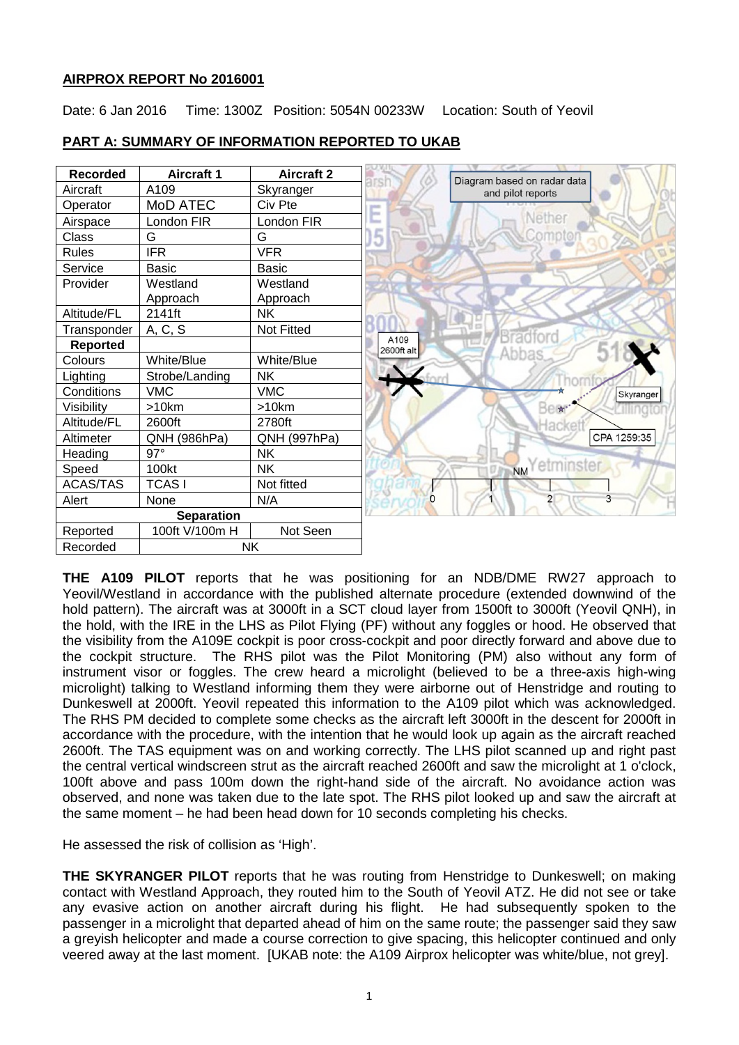## **AIRPROX REPORT No 2016001**

Date: 6 Jan 2016 Time: 1300Z Position: 5054N 00233W Location: South of Yeovil



## **PART A: SUMMARY OF INFORMATION REPORTED TO UKAB**

**THE A109 PILOT** reports that he was positioning for an NDB/DME RW27 approach to Yeovil/Westland in accordance with the published alternate procedure (extended downwind of the hold pattern). The aircraft was at 3000ft in a SCT cloud layer from 1500ft to 3000ft (Yeovil QNH), in the hold, with the IRE in the LHS as Pilot Flying (PF) without any foggles or hood. He observed that the visibility from the A109E cockpit is poor cross-cockpit and poor directly forward and above due to the cockpit structure. The RHS pilot was the Pilot Monitoring (PM) also without any form of instrument visor or foggles. The crew heard a microlight (believed to be a three-axis high-wing microlight) talking to Westland informing them they were airborne out of Henstridge and routing to Dunkeswell at 2000ft. Yeovil repeated this information to the A109 pilot which was acknowledged. The RHS PM decided to complete some checks as the aircraft left 3000ft in the descent for 2000ft in accordance with the procedure, with the intention that he would look up again as the aircraft reached 2600ft. The TAS equipment was on and working correctly. The LHS pilot scanned up and right past the central vertical windscreen strut as the aircraft reached 2600ft and saw the microlight at 1 o'clock, 100ft above and pass 100m down the right-hand side of the aircraft. No avoidance action was observed, and none was taken due to the late spot. The RHS pilot looked up and saw the aircraft at the same moment – he had been head down for 10 seconds completing his checks.

He assessed the risk of collision as 'High'.

**THE SKYRANGER PILOT** reports that he was routing from Henstridge to Dunkeswell; on making contact with Westland Approach, they routed him to the South of Yeovil ATZ. He did not see or take any evasive action on another aircraft during his flight. He had subsequently spoken to the passenger in a microlight that departed ahead of him on the same route; the passenger said they saw a greyish helicopter and made a course correction to give spacing, this helicopter continued and only veered away at the last moment. [UKAB note: the A109 Airprox helicopter was white/blue, not grey].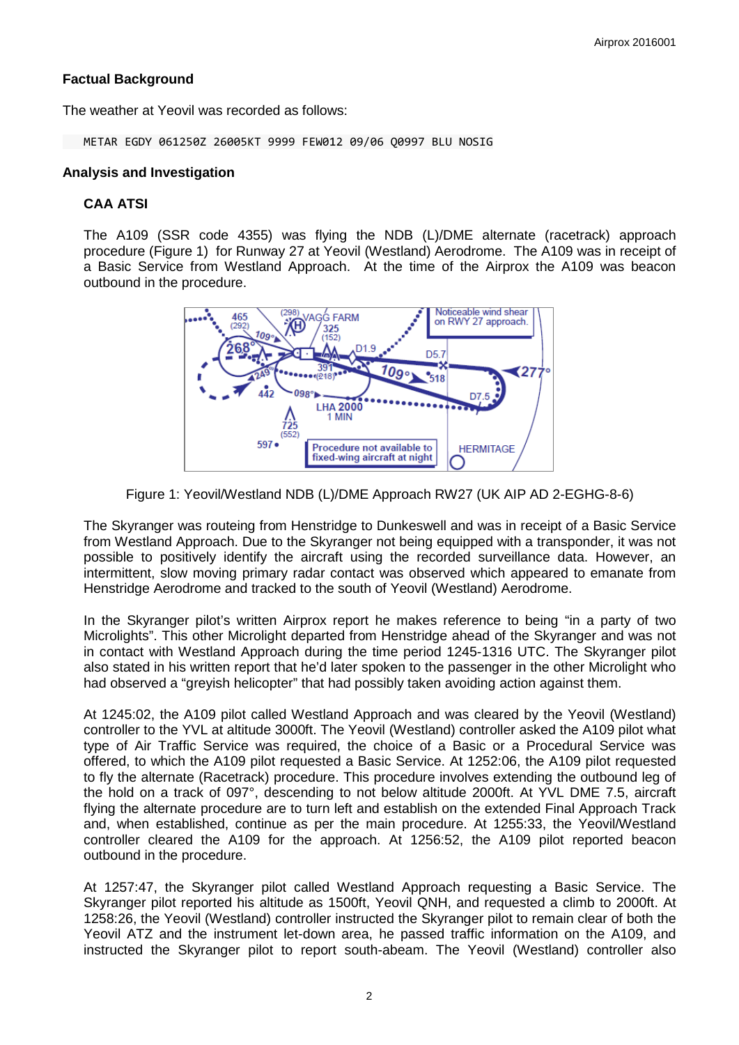## **Factual Background**

The weather at Yeovil was recorded as follows:

METAR EGDY 061250Z 26005KT 9999 FEW012 09/06 Q0997 BLU NOSIG

#### **Analysis and Investigation**

### **CAA ATSI**

The A109 (SSR code 4355) was flying the NDB (L)/DME alternate (racetrack) approach procedure (Figure 1) for Runway 27 at Yeovil (Westland) Aerodrome. The A109 was in receipt of a Basic Service from Westland Approach. At the time of the Airprox the A109 was beacon outbound in the procedure.



Figure 1: Yeovil/Westland NDB (L)/DME Approach RW27 (UK AIP AD 2-EGHG-8-6)

The Skyranger was routeing from Henstridge to Dunkeswell and was in receipt of a Basic Service from Westland Approach. Due to the Skyranger not being equipped with a transponder, it was not possible to positively identify the aircraft using the recorded surveillance data. However, an intermittent, slow moving primary radar contact was observed which appeared to emanate from Henstridge Aerodrome and tracked to the south of Yeovil (Westland) Aerodrome.

In the Skyranger pilot's written Airprox report he makes reference to being "in a party of two Microlights". This other Microlight departed from Henstridge ahead of the Skyranger and was not in contact with Westland Approach during the time period 1245-1316 UTC. The Skyranger pilot also stated in his written report that he'd later spoken to the passenger in the other Microlight who had observed a "greyish helicopter" that had possibly taken avoiding action against them.

At 1245:02, the A109 pilot called Westland Approach and was cleared by the Yeovil (Westland) controller to the YVL at altitude 3000ft. The Yeovil (Westland) controller asked the A109 pilot what type of Air Traffic Service was required, the choice of a Basic or a Procedural Service was offered, to which the A109 pilot requested a Basic Service. At 1252:06, the A109 pilot requested to fly the alternate (Racetrack) procedure. This procedure involves extending the outbound leg of the hold on a track of 097°, descending to not below altitude 2000ft. At YVL DME 7.5, aircraft flying the alternate procedure are to turn left and establish on the extended Final Approach Track and, when established, continue as per the main procedure. At 1255:33, the Yeovil/Westland controller cleared the A109 for the approach. At 1256:52, the A109 pilot reported beacon outbound in the procedure.

At 1257:47, the Skyranger pilot called Westland Approach requesting a Basic Service. The Skyranger pilot reported his altitude as 1500ft, Yeovil QNH, and requested a climb to 2000ft. At 1258:26, the Yeovil (Westland) controller instructed the Skyranger pilot to remain clear of both the Yeovil ATZ and the instrument let-down area, he passed traffic information on the A109, and instructed the Skyranger pilot to report south-abeam. The Yeovil (Westland) controller also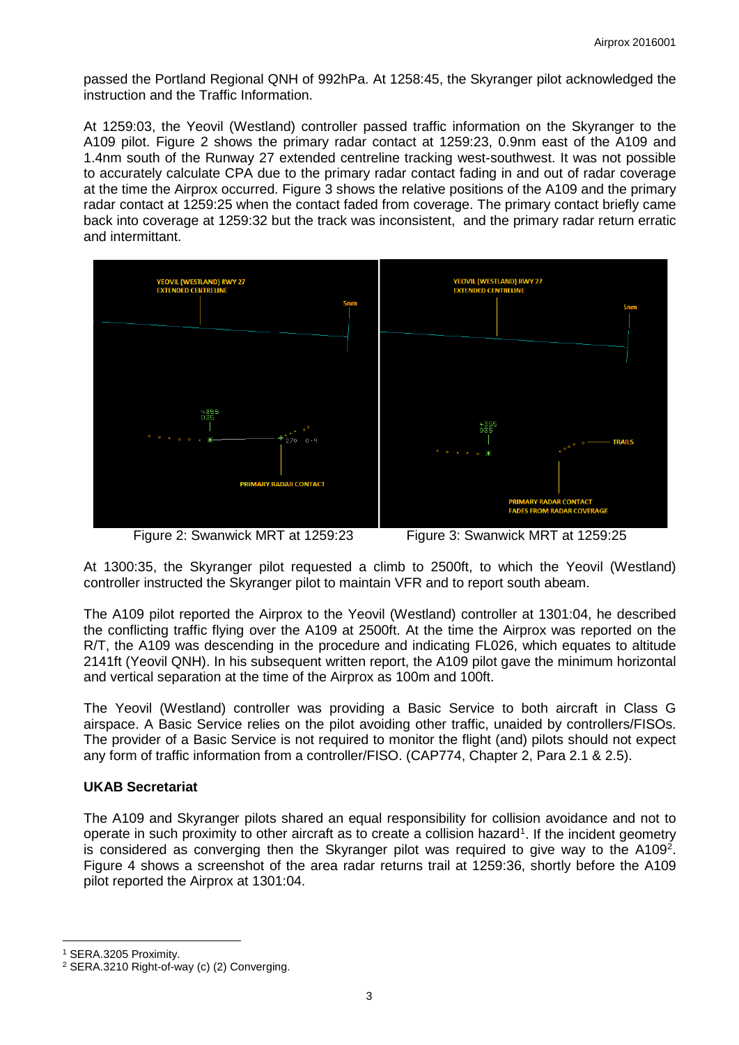passed the Portland Regional QNH of 992hPa. At 1258:45, the Skyranger pilot acknowledged the instruction and the Traffic Information.

At 1259:03, the Yeovil (Westland) controller passed traffic information on the Skyranger to the A109 pilot. Figure 2 shows the primary radar contact at 1259:23, 0.9nm east of the A109 and 1.4nm south of the Runway 27 extended centreline tracking west-southwest. It was not possible to accurately calculate CPA due to the primary radar contact fading in and out of radar coverage at the time the Airprox occurred. Figure 3 shows the relative positions of the A109 and the primary radar contact at 1259:25 when the contact faded from coverage. The primary contact briefly came back into coverage at 1259:32 but the track was inconsistent, and the primary radar return erratic and intermittant.





At 1300:35, the Skyranger pilot requested a climb to 2500ft, to which the Yeovil (Westland) controller instructed the Skyranger pilot to maintain VFR and to report south abeam.

The A109 pilot reported the Airprox to the Yeovil (Westland) controller at 1301:04, he described the conflicting traffic flying over the A109 at 2500ft. At the time the Airprox was reported on the R/T, the A109 was descending in the procedure and indicating FL026, which equates to altitude 2141ft (Yeovil QNH). In his subsequent written report, the A109 pilot gave the minimum horizontal and vertical separation at the time of the Airprox as 100m and 100ft.

The Yeovil (Westland) controller was providing a Basic Service to both aircraft in Class G airspace. A Basic Service relies on the pilot avoiding other traffic, unaided by controllers/FISOs. The provider of a Basic Service is not required to monitor the flight (and) pilots should not expect any form of traffic information from a controller/FISO. (CAP774, Chapter 2, Para 2.1 & 2.5).

## **UKAB Secretariat**

The A109 and Skyranger pilots shared an equal responsibility for collision avoidance and not to operate in such proximity to other aircraft as to create a collision hazard<sup>[1](#page-2-0)</sup>. If the incident geometry is considered as converging then the Skyranger pilot was required to give way to the A109<sup>[2](#page-2-1)</sup>. Figure 4 shows a screenshot of the area radar returns trail at 1259:36, shortly before the A109 pilot reported the Airprox at 1301:04.

l

<span id="page-2-0"></span><sup>1</sup> SERA.3205 Proximity.

<span id="page-2-1"></span><sup>2</sup> SERA.3210 Right-of-way (c) (2) Converging.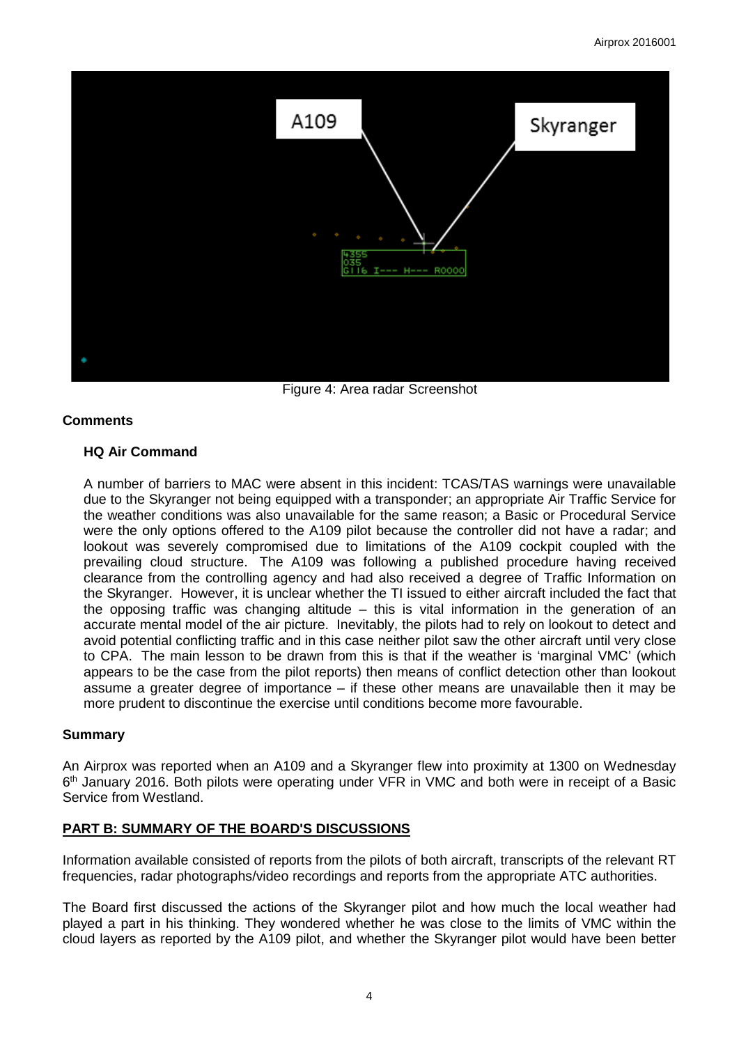

Figure 4: Area radar Screenshot

## **Comments**

## **HQ Air Command**

A number of barriers to MAC were absent in this incident: TCAS/TAS warnings were unavailable due to the Skyranger not being equipped with a transponder; an appropriate Air Traffic Service for the weather conditions was also unavailable for the same reason; a Basic or Procedural Service were the only options offered to the A109 pilot because the controller did not have a radar; and lookout was severely compromised due to limitations of the A109 cockpit coupled with the prevailing cloud structure. The A109 was following a published procedure having received clearance from the controlling agency and had also received a degree of Traffic Information on the Skyranger. However, it is unclear whether the TI issued to either aircraft included the fact that the opposing traffic was changing altitude – this is vital information in the generation of an accurate mental model of the air picture. Inevitably, the pilots had to rely on lookout to detect and avoid potential conflicting traffic and in this case neither pilot saw the other aircraft until very close to CPA. The main lesson to be drawn from this is that if the weather is 'marginal VMC' (which appears to be the case from the pilot reports) then means of conflict detection other than lookout assume a greater degree of importance – if these other means are unavailable then it may be more prudent to discontinue the exercise until conditions become more favourable.

## **Summary**

An Airprox was reported when an A109 and a Skyranger flew into proximity at 1300 on Wednesday 6<sup>th</sup> January 2016. Both pilots were operating under VFR in VMC and both were in receipt of a Basic Service from Westland.

# **PART B: SUMMARY OF THE BOARD'S DISCUSSIONS**

Information available consisted of reports from the pilots of both aircraft, transcripts of the relevant RT frequencies, radar photographs/video recordings and reports from the appropriate ATC authorities.

The Board first discussed the actions of the Skyranger pilot and how much the local weather had played a part in his thinking. They wondered whether he was close to the limits of VMC within the cloud layers as reported by the A109 pilot, and whether the Skyranger pilot would have been better